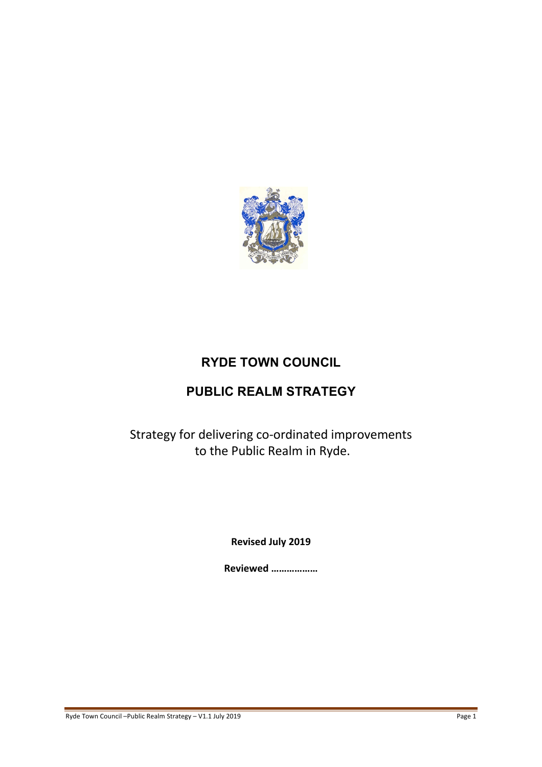

## **RYDE TOWN COUNCIL**

## **PUBLIC REALM STRATEGY**

Strategy for delivering co-ordinated improvements to the Public Realm in Ryde.

**Revised July 2019**

**Reviewed ………………**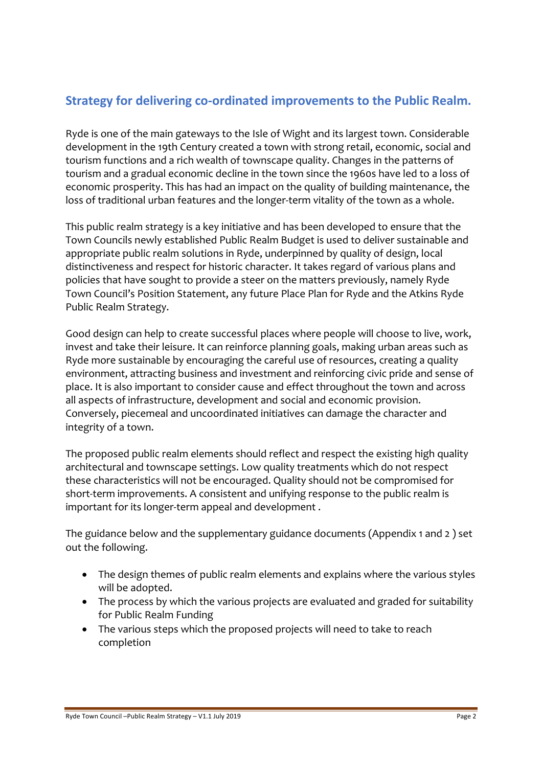## **Strategy for delivering co-ordinated improvements to the Public Realm.**

Ryde is one of the main gateways to the Isle of Wight and its largest town. Considerable development in the 19th Century created a town with strong retail, economic, social and tourism functions and a rich wealth of townscape quality. Changes in the patterns of tourism and a gradual economic decline in the town since the 1960s have led to a loss of economic prosperity. This has had an impact on the quality of building maintenance, the loss of traditional urban features and the longer-term vitality of the town as a whole.

This public realm strategy is a key initiative and has been developed to ensure that the Town Councils newly established Public Realm Budget is used to deliver sustainable and appropriate public realm solutions in Ryde, underpinned by quality of design, local distinctiveness and respect for historic character. It takes regard of various plans and policies that have sought to provide a steer on the matters previously, namely Ryde Town Council's Position Statement, any future Place Plan for Ryde and the Atkins Ryde Public Realm Strategy.

Good design can help to create successful places where people will choose to live, work, invest and take their leisure. It can reinforce planning goals, making urban areas such as Ryde more sustainable by encouraging the careful use of resources, creating a quality environment, attracting business and investment and reinforcing civic pride and sense of place. It is also important to consider cause and effect throughout the town and across all aspects of infrastructure, development and social and economic provision. Conversely, piecemeal and uncoordinated initiatives can damage the character and integrity of a town.

The proposed public realm elements should reflect and respect the existing high quality architectural and townscape settings. Low quality treatments which do not respect these characteristics will not be encouraged. Quality should not be compromised for short-term improvements. A consistent and unifying response to the public realm is important for its longer-term appeal and development .

The guidance below and the supplementary guidance documents (Appendix 1 and 2 ) set out the following.

- The design themes of public realm elements and explains where the various styles will be adopted.
- The process by which the various projects are evaluated and graded for suitability for Public Realm Funding
- The various steps which the proposed projects will need to take to reach completion